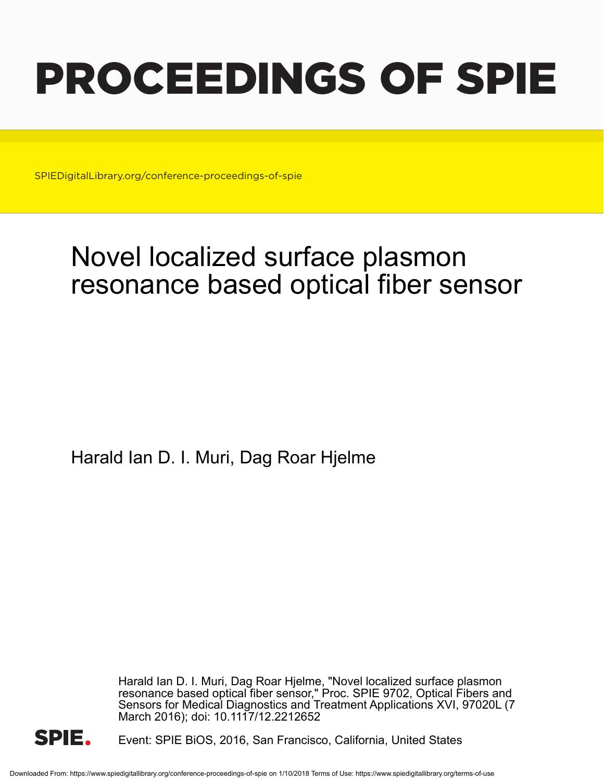# PROCEEDINGS OF SPIE

SPIEDigitalLibrary.org/conference-proceedings-of-spie

## Novel localized surface plasmon resonance based optical fiber sensor

Harald Ian D. I. Muri, Dag Roar Hjelme

Harald Ian D. I. Muri, Dag Roar Hjelme, "Novel localized surface plasmon resonance based optical fiber sensor," Proc. SPIE 9702, Optical Fibers and Sensors for Medical Diagnostics and Treatment Applications XVI, 97020L (7 March 2016); doi: 10.1117/12.2212652



Event: SPIE BiOS, 2016, San Francisco, California, United States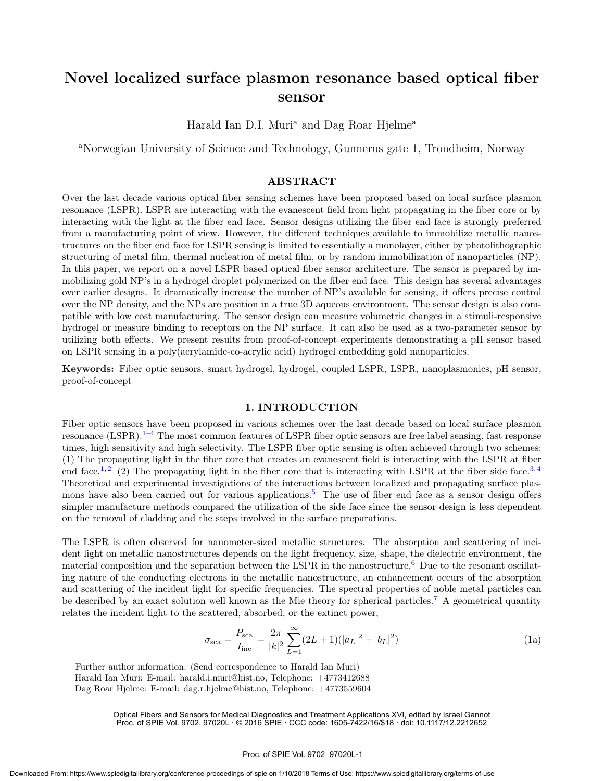### Novel localized surface plasmon resonance based optical fiber sensor

Harald Ian D.I. Muri<sup>a</sup> and Dag Roar Hjelme<sup>a</sup>

<sup>a</sup>Norwegian University of Science and Technology, Gunnerus gate 1, Trondheim, Norway

#### ABSTRACT

Over the last decade various optical fiber sensing schemes have been proposed based on local surface plasmon resonance (LSPR). LSPR are interacting with the evanescent field from light propagating in the fiber core or by interacting with the light at the fiber end face. Sensor designs utilizing the fiber end face is strongly preferred from a manufacturing point of view. However, the different techniques available to immobilize metallic nanostructures on the fiber end face for LSPR sensing is limited to essentially a monolayer, either by photolithographic structuring of metal film, thermal nucleation of metal film, or by random immobilization of nanoparticles (NP). In this paper, we report on a novel LSPR based optical fiber sensor architecture. The sensor is prepared by immobilizing gold NP's in a hydrogel droplet polymerized on the fiber end face. This design has several advantages over earlier designs. It dramatically increase the number of NP's available for sensing, it offers precise control over the NP density, and the NPs are position in a true 3D aqueous environment. The sensor design is also compatible with low cost manufacturing. The sensor design can measure volumetric changes in a stimuli-responsive hydrogel or measure binding to receptors on the NP surface. It can also be used as a two-parameter sensor by utilizing both effects. We present results from proof-of-concept experiments demonstrating a pH sensor based on LSPR sensing in a poly(acrylamide-co-acrylic acid) hydrogel embedding gold nanoparticles.

Keywords: Fiber optic sensors, smart hydrogel, hydrogel, coupled LSPR, LSPR, nanoplasmonics, pH sensor, proof-of-concept

#### 1. INTRODUCTION

Fiber optic sensors have been proposed in various schemes over the last decade based on local surface plasmon resonance  $(LSPR)$ .<sup>1–4</sup> The most common features of LSPR fiber optic sensors are free label sensing, fast response times, high sensitivity and high selectivity. The LSPR fiber optic sensing is often achieved through two schemes: (1) The propagating light in the fiber core that creates an evanescent field is interacting with the LSPR at fiber end face.<sup>1, 2</sup> (2) The propagating light in the fiber core that is interacting with LSPR at the fiber side face.<sup>3, 4</sup> Theoretical and experimental investigations of the interactions between localized and propagating surface plasmons have also been carried out for various applications.<sup>5</sup> The use of fiber end face as a sensor design offers simpler manufacture methods compared the utilization of the side face since the sensor design is less dependent on the removal of cladding and the steps involved in the surface preparations.

The LSPR is often observed for nanometer-sized metallic structures. The absorption and scattering of incident light on metallic nanostructures depends on the light frequency, size, shape, the dielectric environment, the material composition and the separation between the LSPR in the nanostructure.<sup>6</sup> Due to the resonant oscillating nature of the conducting electrons in the metallic nanostructure, an enhancement occurs of the absorption and scattering of the incident light for specific frequencies. The spectral properties of noble metal particles can be described by an exact solution well known as the Mie theory for spherical particles.<sup>7</sup> A geometrical quantity relates the incident light to the scattered, absorbed, or the extinct power,

$$
\sigma_{\text{sca}} = \frac{P_{\text{sca}}}{I_{\text{inc}}} = \frac{2\pi}{|k|^2} \sum_{L=1}^{\infty} (2L+1)(|a_L|^2 + |b_L|^2)
$$
(1a)

Further author information: (Send correspondence to Harald Ian Muri) Harald Ian Muri: E-mail: harald.i.muri@hist.no, Telephone: +4773412688 Dag Roar Hjelme: E-mail: dag.r.hjelme@hist.no, Telephone: +4773559604

> Optical Fibers and Sensors for Medical Diagnostics and Treatment Applications XVI, edited by Israel Gannot Proc. of SPIE Vol. 9702, 97020L · © 2016 SPIE · CCC code: 1605-7422/16/\$18 · doi: 10.1117/12.2212652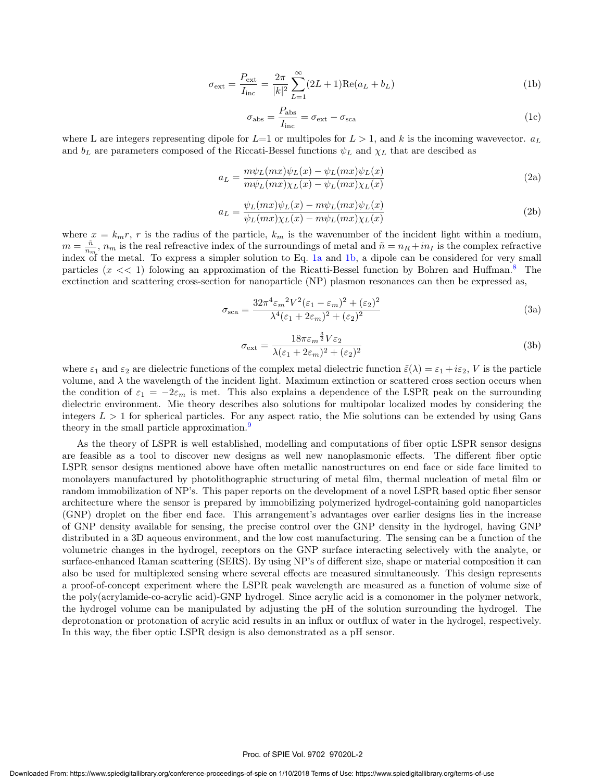$$
\sigma_{\text{ext}} = \frac{P_{\text{ext}}}{I_{\text{inc}}} = \frac{2\pi}{|k|^2} \sum_{L=1}^{\infty} (2L+1) \text{Re}(a_L + b_L)
$$
 (1b)

$$
\sigma_{\rm abs} = \frac{P_{\rm abs}}{I_{\rm inc}} = \sigma_{\rm ext} - \sigma_{\rm sca}
$$
\n(1c)

where L are integers representing dipole for  $L=1$  or multipoles for  $L > 1$ , and k is the incoming wavevector.  $a_L$ and  $b<sub>L</sub>$  are parameters composed of the Riccati-Bessel functions  $\psi<sub>L</sub>$  and  $\chi<sub>L</sub>$  that are descibed as

$$
a_L = \frac{m\psi_L(mx)\psi_L(x) - \psi_L(mx)\psi_L(x)}{m\psi_L(mx)\chi_L(x) - \psi_L(mx)\chi_L(x)}\tag{2a}
$$

$$
a_L = \frac{\psi_L(mx)\psi_L(x) - m\psi_L(mx)\psi_L(x)}{\psi_L(mx)\chi_L(x) - m\psi_L(mx)\chi_L(x)}\tag{2b}
$$

where  $x = k_m r$ , r is the radius of the particle,  $k_m$  is the wavenumber of the incident light within a medium,  $m = \frac{\tilde{n}}{n_m}$ ,  $n_m$  is the real refreactive index of the surroundings of metal and  $\tilde{n} = n_R + i n_I$  is the complex refractive index of the metal. To express a simpler solution to Eq. 1a and 1b, a dipole can be considered for very small particles  $(x \ll 1)$  folowing an approximation of the Ricatti-Bessel function by Bohren and Huffman.<sup>8</sup> The exctinction and scattering cross-section for nanoparticle (NP) plasmon resonances can then be expressed as,

$$
\sigma_{\text{sca}} = \frac{32\pi^4 \varepsilon_m^2 V^2 (\varepsilon_1 - \varepsilon_m)^2 + (\varepsilon_2)^2}{\lambda^4 (\varepsilon_1 + 2\varepsilon_m)^2 + (\varepsilon_2)^2}
$$
(3a)

$$
\sigma_{\text{ext}} = \frac{18\pi\varepsilon_m^{\frac{3}{2}}V\varepsilon_2}{\lambda(\varepsilon_1 + 2\varepsilon_m)^2 + (\varepsilon_2)^2}
$$
(3b)

where  $\varepsilon_1$  and  $\varepsilon_2$  are dielectric functions of the complex metal dielectric function  $\tilde{\varepsilon}(\lambda) = \varepsilon_1 + i\varepsilon_2$ , V is the particle volume, and  $\lambda$  the wavelength of the incident light. Maximum extinction or scattered cross section occurs when the condition of  $\varepsilon_1 = -2\varepsilon_m$  is met. This also explains a dependence of the LSPR peak on the surrounding dielectric environment. Mie theory describes also solutions for multipolar localized modes by considering the integers  $L > 1$  for spherical particles. For any aspect ratio, the Mie solutions can be extended by using Gans theory in the small particle approximation.<sup>9</sup>

As the theory of LSPR is well established, modelling and computations of fiber optic LSPR sensor designs are feasible as a tool to discover new designs as well new nanoplasmonic effects. The different fiber optic LSPR sensor designs mentioned above have often metallic nanostructures on end face or side face limited to monolayers manufactured by photolithographic structuring of metal film, thermal nucleation of metal film or random immobilization of NP's. This paper reports on the development of a novel LSPR based optic fiber sensor architecture where the sensor is prepared by immobilizing polymerized hydrogel-containing gold nanoparticles (GNP) droplet on the fiber end face. This arrangement's advantages over earlier designs lies in the increase of GNP density available for sensing, the precise control over the GNP density in the hydrogel, having GNP distributed in a 3D aqueous environment, and the low cost manufacturing. The sensing can be a function of the volumetric changes in the hydrogel, receptors on the GNP surface interacting selectively with the analyte, or surface-enhanced Raman scattering (SERS). By using NP's of different size, shape or material composition it can also be used for multiplexed sensing where several effects are measured simultaneously. This design represents a proof-of-concept experiment where the LSPR peak wavelength are measured as a function of volume size of the poly(acrylamide-co-acrylic acid)-GNP hydrogel. Since acrylic acid is a comonomer in the polymer network, the hydrogel volume can be manipulated by adjusting the pH of the solution surrounding the hydrogel. The deprotonation or protonation of acrylic acid results in an influx or outflux of water in the hydrogel, respectively. In this way, the fiber optic LSPR design is also demonstrated as a pH sensor.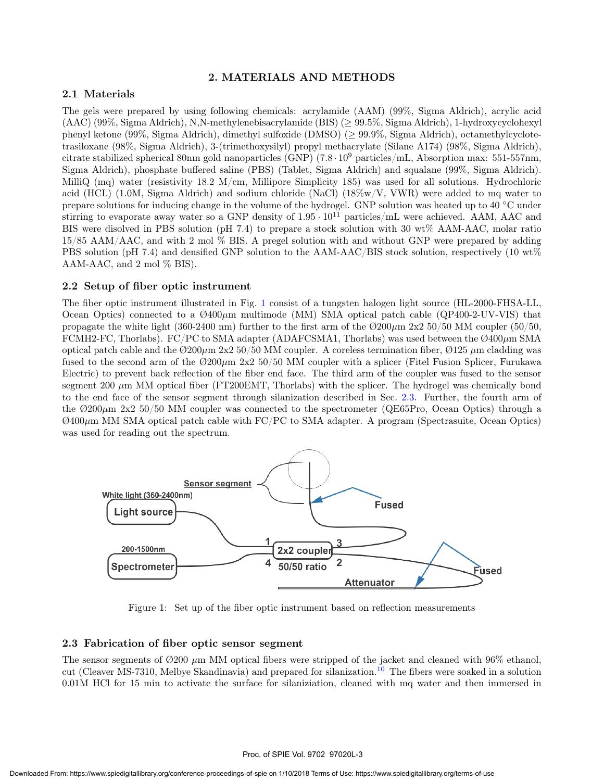#### 2. MATERIALS AND METHODS

#### 2.1 Materials

The gels were prepared by using following chemicals: acrylamide (AAM) (99%, Sigma Aldrich), acrylic acid (AAC) (99%, Sigma Aldrich), N,N-methylenebisacrylamide (BIS) (≥ 99.5%, Sigma Aldrich), 1-hydroxycyclohexyl phenyl ketone (99%, Sigma Aldrich), dimethyl sulfoxide (DMSO) (≥ 99.9%, Sigma Aldrich), octamethylcyclotetrasiloxane (98%, Sigma Aldrich), 3-(trimethoxysilyl) propyl methacrylate (Silane A174) (98%, Sigma Aldrich), citrate stabilized spherical 80nm gold nanoparticles (GNP) (7.8 · 10<sup>9</sup> particles/mL, Absorption max: 551-557nm, Sigma Aldrich), phosphate buffered saline (PBS) (Tablet, Sigma Aldrich) and squalane (99%, Sigma Aldrich). MilliQ (mq) water (resistivity 18.2 M/cm, Millipore Simplicity 185) was used for all solutions. Hydrochloric acid (HCL) (1.0M, Sigma Aldrich) and sodium chloride (NaCl) (18%w/V, VWR) were added to mq water to prepare solutions for inducing change in the volume of the hydrogel. GNP solution was heated up to 40 ◦C under stirring to evaporate away water so a GNP density of  $1.95 \cdot 10^{11}$  particles/mL were achieved. AAM, AAC and BIS were disolved in PBS solution (pH 7.4) to prepare a stock solution with 30 wt% AAM-AAC, molar ratio 15/85 AAM/AAC, and with 2 mol % BIS. A pregel solution with and without GNP were prepared by adding PBS solution (pH 7.4) and densified GNP solution to the AAM-AAC/BIS stock solution, respectively (10 wt%) AAM-AAC, and 2 mol % BIS).

#### 2.2 Setup of fiber optic instrument

The fiber optic instrument illustrated in Fig. 1 consist of a tungsten halogen light source (HL-2000-FHSA-LL, Ocean Optics) connected to a  $\emptyset$ 400 $\mu$ m multimode (MM) SMA optical patch cable (QP400-2-UV-VIS) that propagate the white light (360-2400 nm) further to the first arm of the  $\emptyset$ 200 $\mu$ m 2x2 50/50 MM coupler (50/50, FCMH2-FC, Thorlabs). FC/PC to SMA adapter (ADAFCSMA1, Thorlabs) was used between the  $\mathcal{O}400\mu$ m SMA optical patch cable and the  $\emptyset$ 200 $\mu$ m 2x2 50/50 MM coupler. A coreless termination fiber,  $\emptyset$ 125  $\mu$ m cladding was fused to the second arm of the  $\varnothing 200\mu$ m 2x2 50/50 MM coupler with a splicer (Fitel Fusion Splicer, Furukawa Electric) to prevent back reflection of the fiber end face. The third arm of the coupler was fused to the sensor segment 200  $\mu$ m MM optical fiber (FT200EMT, Thorlabs) with the splicer. The hydrogel was chemically bond to the end face of the sensor segment through silanization described in Sec. 2.3. Further, the fourth arm of the  $\varnothing$ 200 $\mu$ m 2x2 50/50 MM coupler was connected to the spectrometer (QE65Pro, Ocean Optics) through a  $\emptyset$ 400 $\mu$ m MM SMA optical patch cable with FC/PC to SMA adapter. A program (Spectrasuite, Ocean Optics) was used for reading out the spectrum.



Figure 1: Set up of the fiber optic instrument based on reflection measurements

#### 2.3 Fabrication of fiber optic sensor segment

The sensor segments of  $\varnothing$ 200  $\mu$ m MM optical fibers were stripped of the jacket and cleaned with 96% ethanol, cut (Cleaver MS-7310, Melbye Skandinavia) and prepared for silanization.<sup>10</sup> The fibers were soaked in a solution 0.01M HCl for 15 min to activate the surface for silaniziation, cleaned with mq water and then immersed in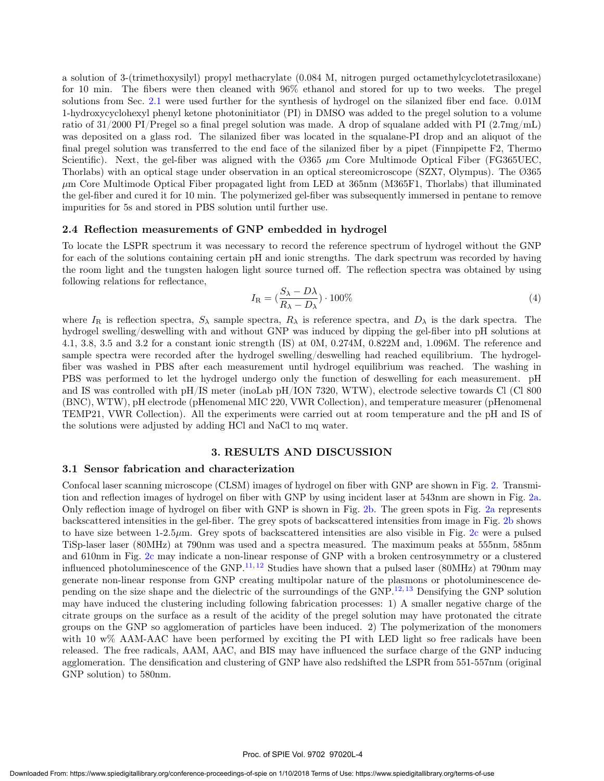a solution of 3-(trimethoxysilyl) propyl methacrylate (0.084 M, nitrogen purged octamethylcyclotetrasiloxane) for 10 min. The fibers were then cleaned with 96% ethanol and stored for up to two weeks. The pregel solutions from Sec. 2.1 were used further for the synthesis of hydrogel on the silanized fiber end face. 0.01M 1-hydroxycyclohexyl phenyl ketone photoninitiator (PI) in DMSO was added to the pregel solution to a volume ratio of 31/2000 PI/Pregel so a final pregel solution was made. A drop of squalane added with PI  $(2.7 \text{mg/mL})$ was deposited on a glass rod. The silanized fiber was located in the squalane-PI drop and an aliquot of the final pregel solution was transferred to the end face of the silanized fiber by a pipet (Finnpipette F2, Thermo Scientific). Next, the gel-fiber was aligned with the  $\emptyset$ 365  $\mu$ m Core Multimode Optical Fiber (FG365UEC, Thorlabs) with an optical stage under observation in an optical stereomicroscope (SZX7, Olympus). The Ø365  $\mu$ m Core Multimode Optical Fiber propagated light from LED at 365nm (M365F1, Thorlabs) that illuminated the gel-fiber and cured it for 10 min. The polymerized gel-fiber was subsequently immersed in pentane to remove impurities for 5s and stored in PBS solution until further use.

#### 2.4 Reflection measurements of GNP embedded in hydrogel

To locate the LSPR spectrum it was necessary to record the reference spectrum of hydrogel without the GNP for each of the solutions containing certain pH and ionic strengths. The dark spectrum was recorded by having the room light and the tungsten halogen light source turned off. The reflection spectra was obtained by using following relations for reflectance,

$$
I_{\rm R} = \left(\frac{S_{\lambda} - D\lambda}{R_{\lambda} - D_{\lambda}}\right) \cdot 100\%
$$
\n
$$
\tag{4}
$$

where  $I_R$  is reflection spectra,  $S_\lambda$  sample spectra,  $R_\lambda$  is reference spectra, and  $D_\lambda$  is the dark spectra. The hydrogel swelling/deswelling with and without GNP was induced by dipping the gel-fiber into pH solutions at 4.1, 3.8, 3.5 and 3.2 for a constant ionic strength (IS) at 0M, 0.274M, 0.822M and, 1.096M. The reference and sample spectra were recorded after the hydrogel swelling/deswelling had reached equilibrium. The hydrogelfiber was washed in PBS after each measurement until hydrogel equilibrium was reached. The washing in PBS was performed to let the hydrogel undergo only the function of deswelling for each measurement. pH and IS was controlled with pH/IS meter (inoLab pH/ION 7320, WTW), electrode selective towards Cl (Cl 800 (BNC), WTW), pH electrode (pHenomenal MIC 220, VWR Collection), and temperature measurer (pHenomenal TEMP21, VWR Collection). All the experiments were carried out at room temperature and the pH and IS of the solutions were adjusted by adding HCl and NaCl to mq water.

#### 3. RESULTS AND DISCUSSION

#### 3.1 Sensor fabrication and characterization

Confocal laser scanning microscope (CLSM) images of hydrogel on fiber with GNP are shown in Fig. 2. Transmition and reflection images of hydrogel on fiber with GNP by using incident laser at 543nm are shown in Fig. 2a. Only reflection image of hydrogel on fiber with GNP is shown in Fig. 2b. The green spots in Fig. 2a represents backscattered intensities in the gel-fiber. The grey spots of backscattered intensities from image in Fig. 2b shows to have size between 1-2.5 $\mu$ m. Grey spots of backscattered intensities are also visible in Fig. 2c were a pulsed TiSp-laser laser (80MHz) at 790nm was used and a spectra measured. The maximum peaks at 555nm, 585nm and 610nm in Fig. 2c may indicate a non-linear response of GNP with a broken centrosymmetry or a clustered influenced photoluminescence of the GNP.<sup>11, 12</sup> Studies have shown that a pulsed laser (80MHz) at 790nm may generate non-linear response from GNP creating multipolar nature of the plasmons or photoluminescence depending on the size shape and the dielectric of the surroundings of the GNP.12, <sup>13</sup> Densifying the GNP solution may have induced the clustering including following fabrication processes: 1) A smaller negative charge of the citrate groups on the surface as a result of the acidity of the pregel solution may have protonated the citrate groups on the GNP so agglomeration of particles have been induced. 2) The polymerization of the monomers with 10 w% AAM-AAC have been performed by exciting the PI with LED light so free radicals have been released. The free radicals, AAM, AAC, and BIS may have influenced the surface charge of the GNP inducing agglomeration. The densification and clustering of GNP have also redshifted the LSPR from 551-557nm (original GNP solution) to 580nm.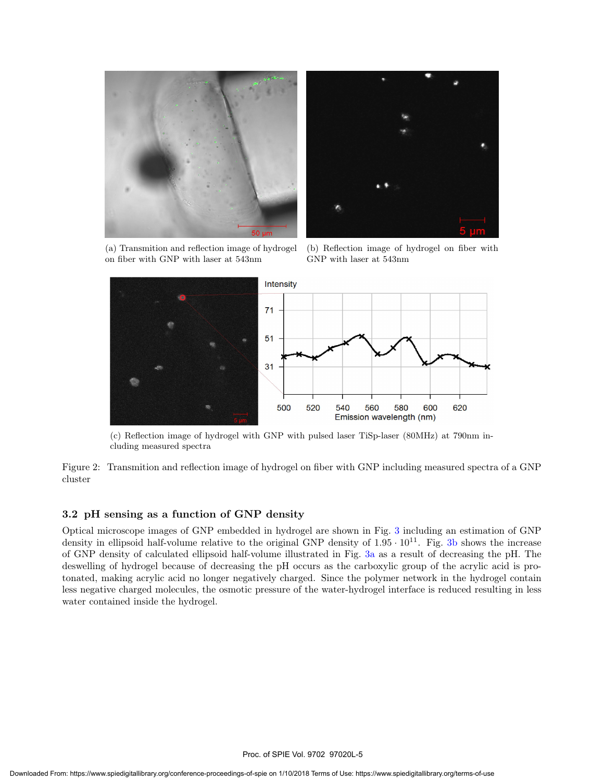

(a) Transmition and reflection image of hydrogel on fiber with GNP with laser at 543nm

(b) Reflection image of hydrogel on fiber with GNP with laser at 543nm



(c) Reflection image of hydrogel with GNP with pulsed laser TiSp-laser (80MHz) at 790nm including measured spectra

Figure 2: Transmition and reflection image of hydrogel on fiber with GNP including measured spectra of a GNP cluster

#### 3.2 pH sensing as a function of GNP density

Optical microscope images of GNP embedded in hydrogel are shown in Fig. 3 including an estimation of GNP density in ellipsoid half-volume relative to the original GNP density of  $1.95 \cdot 10^{11}$ . Fig. 3b shows the increase of GNP density of calculated ellipsoid half-volume illustrated in Fig. 3a as a result of decreasing the pH. The deswelling of hydrogel because of decreasing the pH occurs as the carboxylic group of the acrylic acid is protonated, making acrylic acid no longer negatively charged. Since the polymer network in the hydrogel contain less negative charged molecules, the osmotic pressure of the water-hydrogel interface is reduced resulting in less water contained inside the hydrogel.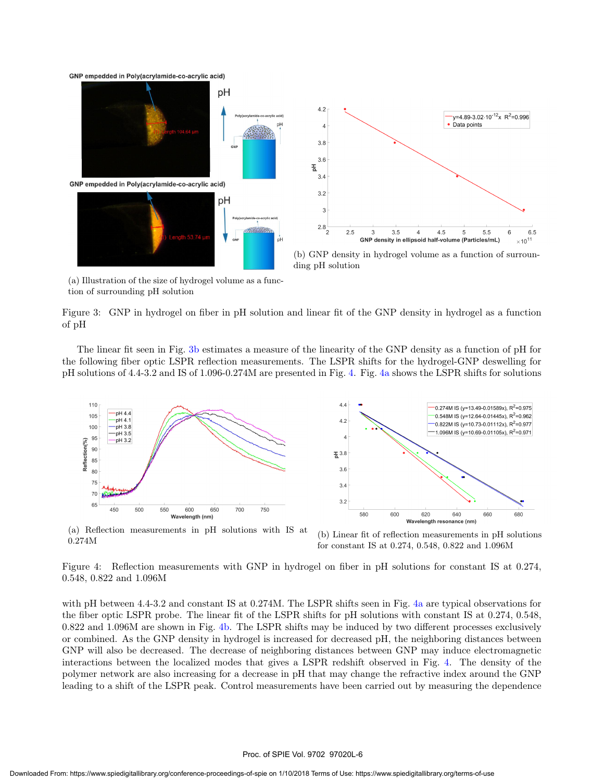GNP empedded in Poly(acrylamide-co-acrylic acid)



(a) Illustration of the size of hydrogel volume as a function of surrounding pH solution

Figure 3: GNP in hydrogel on fiber in pH solution and linear fit of the GNP density in hydrogel as a function of pH

The linear fit seen in Fig. 3b estimates a measure of the linearity of the GNP density as a function of pH for the following fiber optic LSPR reflection measurements. The LSPR shifts for the hydrogel-GNP deswelling for pH solutions of 4.4-3.2 and IS of 1.096-0.274M are presented in Fig. 4. Fig. 4a shows the LSPR shifts for solutions



(a) Reflection measurements in pH solutions with IS at 0.274M

(b) Linear fit of reflection measurements in pH solutions for constant IS at 0.274, 0.548, 0.822 and 1.096M

Figure 4: Reflection measurements with GNP in hydrogel on fiber in pH solutions for constant IS at 0.274, 0.548, 0.822 and 1.096M

with pH between 4.4-3.2 and constant IS at 0.274M. The LSPR shifts seen in Fig. 4a are typical observations for the fiber optic LSPR probe. The linear fit of the LSPR shifts for pH solutions with constant IS at 0.274, 0.548, 0.822 and 1.096M are shown in Fig. 4b. The LSPR shifts may be induced by two different processes exclusively or combined. As the GNP density in hydrogel is increased for decreased pH, the neighboring distances between GNP will also be decreased. The decrease of neighboring distances between GNP may induce electromagnetic interactions between the localized modes that gives a LSPR redshift observed in Fig. 4. The density of the polymer network are also increasing for a decrease in pH that may change the refractive index around the GNP leading to a shift of the LSPR peak. Control measurements have been carried out by measuring the dependence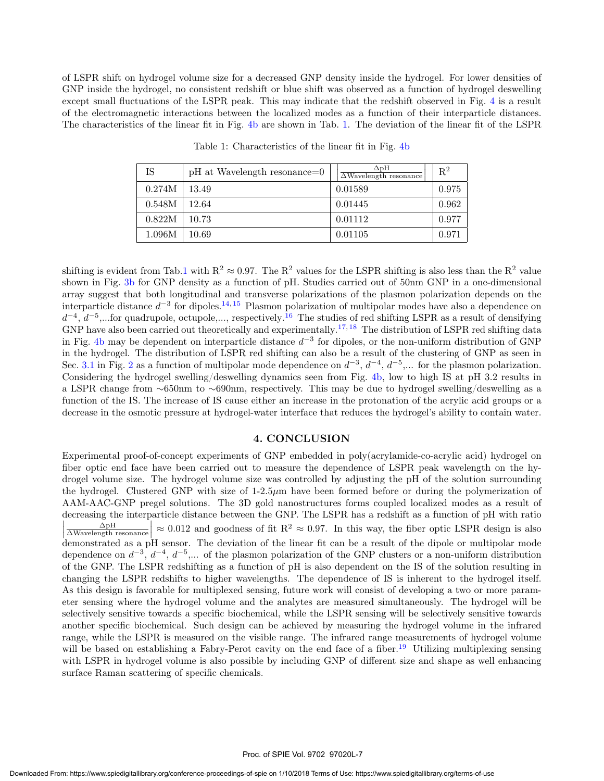of LSPR shift on hydrogel volume size for a decreased GNP density inside the hydrogel. For lower densities of GNP inside the hydrogel, no consistent redshift or blue shift was observed as a function of hydrogel deswelling except small fluctuations of the LSPR peak. This may indicate that the redshift observed in Fig. 4 is a result of the electromagnetic interactions between the localized modes as a function of their interparticle distances. The characteristics of the linear fit in Fig. 4b are shown in Tab. 1. The deviation of the linear fit of the LSPR

| IS     | $pH$ at Wavelength resonance=0 | $\Delta$ pH<br>$\overline{\Delta\text{Wavelength}}$ resonance | $\mathbf{R}^2$ |
|--------|--------------------------------|---------------------------------------------------------------|----------------|
| 0.274M | 13.49                          | 0.01589                                                       | 0.975          |
| 0.548M | 12.64                          | 0.01445                                                       | 0.962          |
| 0.822M | 10.73                          | 0.01112                                                       | 0.977          |
| 1.096M | 10.69                          | 0.01105                                                       | 0.971          |

Table 1: Characteristics of the linear fit in Fig. 4b

shifting is evident from Tab.1 with  $R^2 \approx 0.97$ . The  $R^2$  values for the LSPR shifting is also less than the  $R^2$  value shown in Fig. 3b for GNP density as a function of pH. Studies carried out of 50nm GNP in a one-dimensional array suggest that both longitudinal and transverse polarizations of the plasmon polarization depends on the interparticle distance  $d^{-3}$  for dipoles.<sup>14, 15</sup> Plasmon polarization of multipolar modes have also a dependence on  $d^{-4}$ ,  $d^{-5}$ ,...for quadrupole, octupole,..., respectively.<sup>16</sup> The studies of red shifting LSPR as a result of densifying GNP have also been carried out theoretically and experimentally.<sup>17, 18</sup> The distribution of LSPR red shifting data in Fig. 4b may be dependent on interparticle distance  $d^{-3}$  for dipoles, or the non-uniform distribution of GNP in the hydrogel. The distribution of LSPR red shifting can also be a result of the clustering of GNP as seen in Sec. 3.1 in Fig. 2 as a function of multipolar mode dependence on  $d^{-3}$ ,  $d^{-4}$ ,  $d^{-5}$ ,... for the plasmon polarization. Considering the hydrogel swelling/deswelling dynamics seen from Fig. 4b, low to high IS at pH 3.2 results in a LSPR change from ∼650nm to ∼690nm, respectively. This may be due to hydrogel swelling/deswelling as a function of the IS. The increase of IS cause either an increase in the protonation of the acrylic acid groups or a decrease in the osmotic pressure at hydrogel-water interface that reduces the hydrogel's ability to contain water.

#### 4. CONCLUSION

Experimental proof-of-concept experiments of GNP embedded in poly(acrylamide-co-acrylic acid) hydrogel on fiber optic end face have been carried out to measure the dependence of LSPR peak wavelength on the hydrogel volume size. The hydrogel volume size was controlled by adjusting the pH of the solution surrounding the hydrogel. Clustered GNP with size of 1-2.5µm have been formed before or during the polymerization of AAM-AAC-GNP pregel solutions. The 3D gold nanostructures forms coupled localized modes as a result of decreasing the interparticle distance between the GNP. The LSPR has a redshift as a function of pH with ratio  $\sqrt{\frac{\Delta pH}{\Delta\text{Wavelength}} }$  demonstrated as a pH sensor. The deviation of the linear fit can be a result of the dipole or multipolar mode  $\approx 0.012$  and goodness of fit R<sup>2</sup>  $\approx 0.97$ . In this way, the fiber optic LSPR design is also dependence on  $d^{-3}$ ,  $d^{-4}$ ,  $d^{-5}$ ,... of the plasmon polarization of the GNP clusters or a non-uniform distribution of the GNP. The LSPR redshifting as a function of pH is also dependent on the IS of the solution resulting in changing the LSPR redshifts to higher wavelengths. The dependence of IS is inherent to the hydrogel itself. As this design is favorable for multiplexed sensing, future work will consist of developing a two or more parameter sensing where the hydrogel volume and the analytes are measured simultaneously. The hydrogel will be selectively sensitive towards a specific biochemical, while the LSPR sensing will be selectively sensitive towards another specific biochemical. Such design can be achieved by measuring the hydrogel volume in the infrared range, while the LSPR is measured on the visible range. The infrared range measurements of hydrogel volume will be based on establishing a Fabry-Perot cavity on the end face of a fiber.<sup>19</sup> Utilizing multiplexing sensing with LSPR in hydrogel volume is also possible by including GNP of different size and shape as well enhancing surface Raman scattering of specific chemicals.